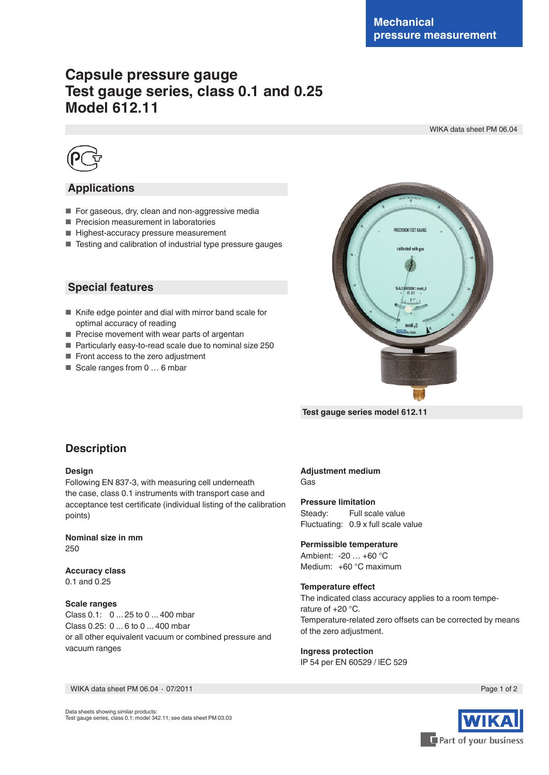# **Capsule pressure gauge Test gauge series, class 0.1 and 0.25 Model 612.11**

WIKA data sheet PM 06.04



## **Applications**

- For gaseous, dry, clean and non-aggressive media
- Precision measurement in laboratories
- Highest-accuracy pressure measurement
- Testing and calibration of industrial type pressure gauges

**Special features**

- Knife edge pointer and dial with mirror band scale for optimal accuracy of reading
- Precise movement with wear parts of argentan
- Particularly easy-to-read scale due to nominal size 250
- Front access to the zero adjustment
- Scale ranges from 0 ... 6 mbar



 **Test gauge series model 612.11**

## **Description**

#### **Design**

Following EN 837-3, with measuring cell underneath the case, class 0.1 instruments with transport case and acceptance test certificate (individual listing of the calibration points)

**Nominal size in mm** 250

**Accuracy class** 0.1 and 0.25

**Scale ranges**

Class 0.1: 0 ... 25 to 0 ... 400 mbar Class 0.25: 0 ... 6 to 0 ... 400 mbar or all other equivalent vacuum or combined pressure and vacuum ranges

#### **Adjustment medium** Gas

**Pressure limitation** Steady: Full scale value Fluctuating: 0.9 x full scale value

**Permissible temperature** Ambient: -20 … +60 °C Medium: +60 °C maximum

#### **Temperature effect**

The indicated class accuracy applies to a room temperature of +20 °C. Temperature-related zero offsets can be corrected by means of the zero adjustment.

**Ingress protection** IP 54 per EN 60529 / lEC 529

WIKA data sheet PM 06.04 ⋅ 07/2011 Page 1 of 2

Data sheets showing similar products: Test gauge series, class 0.1; model 342.11; see data sheet PM 03.03

Part of your business